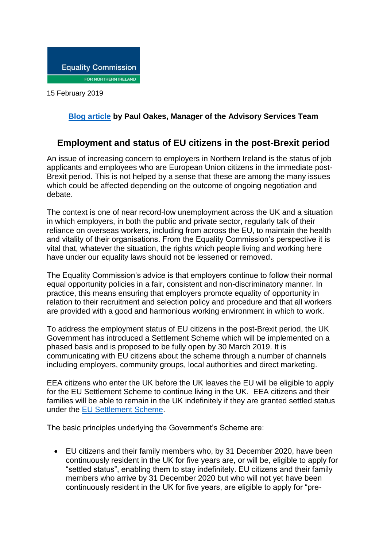

15 February 2019

## **[Blog article](http://www.equalityni.org/Blog) by Paul Oakes, Manager of the Advisory Services Team**

## **Employment and status of EU citizens in the post-Brexit period**

An issue of increasing concern to employers in Northern Ireland is the status of job applicants and employees who are European Union citizens in the immediate post-Brexit period. This is not helped by a sense that these are among the many issues which could be affected depending on the outcome of ongoing negotiation and debate.

The context is one of near record-low unemployment across the UK and a situation in which employers, in both the public and private sector, regularly talk of their reliance on overseas workers, including from across the EU, to maintain the health and vitality of their organisations. From the Equality Commission's perspective it is vital that, whatever the situation, the rights which people living and working here have under our equality laws should not be lessened or removed.

The Equality Commission's advice is that employers continue to follow their normal equal opportunity policies in a fair, consistent and non-discriminatory manner. In practice, this means ensuring that employers promote equality of opportunity in relation to their recruitment and selection policy and procedure and that all workers are provided with a good and harmonious working environment in which to work.

To address the employment status of EU citizens in the post-Brexit period, the UK Government has introduced a Settlement Scheme which will be implemented on a phased basis and is proposed to be fully open by 30 March 2019. It is communicating with EU citizens about the scheme through a number of channels including employers, community groups, local authorities and direct marketing.

EEA citizens who enter the UK before the UK leaves the EU will be eligible to apply for the EU Settlement Scheme to continue living in the UK. EEA citizens and their families will be able to remain in the UK indefinitely if they are granted settled status under the EU [Settlement](https://www.gov.uk/settled-status-eu-citizens-families) Scheme.

The basic principles underlying the Government's Scheme are:

 EU citizens and their family members who, by 31 December 2020, have been continuously resident in the UK for five years are, or will be, eligible to apply for "settled status", enabling them to stay indefinitely. EU citizens and their family members who arrive by 31 December 2020 but who will not yet have been continuously resident in the UK for five years, are eligible to apply for "pre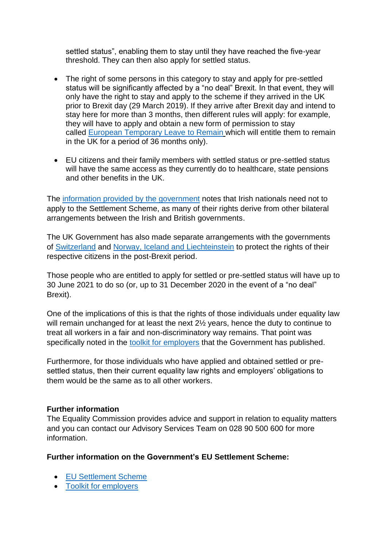settled status", enabling them to stay until they have reached the five-year threshold. They can then also apply for settled status.

- The right of some persons in this category to stay and apply for pre-settled status will be significantly affected by a "no deal" Brexit. In that event, they will only have the right to stay and apply to the scheme if they arrived in the UK prior to Brexit day (29 March 2019). If they arrive after Brexit day and intend to stay here for more than 3 months, then different rules will apply: for example, they will have to apply and obtain a new form of permission to stay called European [Temporary](https://www.gov.uk/guidance/european-temporary-leave-to-remain-in-the-uk) Leave to Remai[n](https://www.gov.uk/guidance/european-temporary-leave-to-remain-in-the-uk) which will entitle them to remain in the UK for a period of 36 months only).
- EU citizens and their family members with settled status or pre-settled status will have the same access as they currently do to healthcare, state pensions and other benefits in the UK.

The information provided by the [government](https://www.gov.uk/government/publications/citizens-rights-uk-and-irish-nationals-in-the-common-travel-area) notes that Irish nationals need not to apply to the Settlement Scheme, as many of their rights derive from other bilateral arrangements between the Irish and British governments.

The UK Government has also made separate arrangements with the governments of [Switzerland](https://www.gov.uk/government/publications/swiss-citizens-rights-agreement-and-explainer) and Norway, Iceland and [Liechteinstein](https://www.gov.uk/government/publications/eea-efta-separation-agreement-and-explainer) to protect the rights of their respective citizens in the post-Brexit period.

Those people who are entitled to apply for settled or pre-settled status will have up to 30 June 2021 to do so (or, up to 31 December 2020 in the event of a "no deal" Brexit).

One of the implications of this is that the rights of those individuals under equality law will remain unchanged for at least the next 2<sup>1/2</sup> years, hence the duty to continue to treat all workers in a fair and non-discriminatory way remains. That point was specifically noted in the toolkit for [employers](https://www.gov.uk/government/publications/eu-settlement-scheme-employer-toolkit/toolkit-introduction-how-to-use-the-employer-toolkit-in-your-organisation-or-network) that the Government has published.

Furthermore, for those individuals who have applied and obtained settled or presettled status, then their current equality law rights and employers' obligations to them would be the same as to all other workers.

## **Further information**

The Equality Commission provides advice and support in relation to equality matters and you can contact our Advisory Services Team on 028 90 500 600 for more information.

**Further information on the Government's EU Settlement Scheme:**

- EU [Settlement](https://www.gov.uk/settled-status-eu-citizens-families) Scheme
- Toolkit for [employers](https://www.gov.uk/government/publications/eu-settlement-scheme-employer-toolkit/toolkit-introduction-how-to-use-the-employer-toolkit-in-your-organisation-or-network)